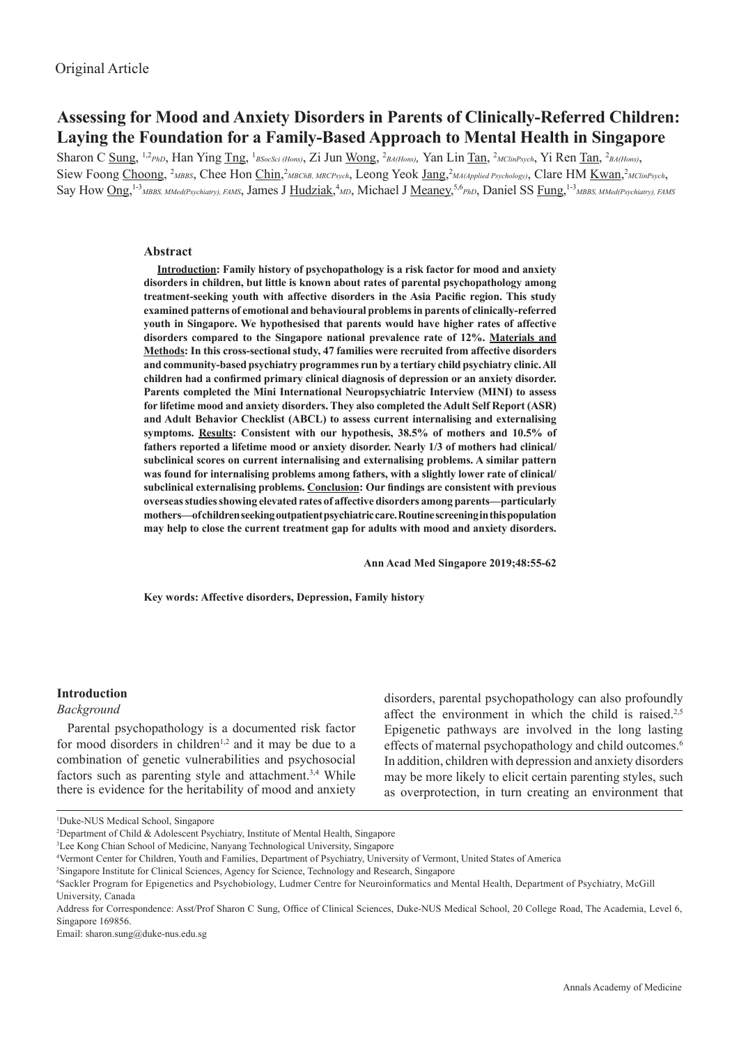# **Assessing for Mood and Anxiety Disorders in Parents of Clinically-Referred Children: Laying the Foundation for a Family-Based Approach to Mental Health in Singapore**

Sharon C Sung, <sup>1,2</sup>PhD, Han Ying Tng, <sup>1</sup>BSocSci (Hons), Zi Jun Wong, <sup>2</sup>BA(Hons), Yan Lin Tan, <sup>2</sup>MClinPsych, Yi Ren Tan, <sup>2</sup>BA(Hons), Siew Foong Choong, <sup>2</sup>MBBS, Chee Hon Chin,<sup>2</sup>MBChB, MRCPsych, Leong Yeok Jang,<sup>2</sup>MA(Applied Psychology), Clare HM <u>Kwan</u>,<sup>2</sup>MClinPsych, Say How Ong, <sup>1-3</sup>*MBBS, MMed(Psychiatry), FAMS*, James J <u>Hudziak</u>,<sup>4</sup>*MD*, Michael J <u>Meaney</u>,<sup>5,6</sup>*PhD*, Daniel SS Fung, <sup>1-3</sup>*MBBS, MMed(Psychiatry), FAMS* 

### **Abstract**

**Introduction: Family history of psychopathology is a risk factor for mood and anxiety disorders in children, but little is known about rates of parental psychopathology among treatment-seeking youth with affective disorders in the Asia Pacific region. This study examined patterns of emotional and behavioural problems in parents of clinically-referred youth in Singapore. We hypothesised that parents would have higher rates of affective disorders compared to the Singapore national prevalence rate of 12%. Materials and Methods: In this cross-sectional study, 47 families were recruited from affective disorders and community-based psychiatry programmes run by a tertiary child psychiatry clinic. All children had a confirmed primary clinical diagnosis of depression or an anxiety disorder. Parents completed the Mini International Neuropsychiatric Interview (MINI) to assess for lifetime mood and anxiety disorders. They also completed the Adult Self Report (ASR) and Adult Behavior Checklist (ABCL) to assess current internalising and externalising symptoms. Results: Consistent with our hypothesis, 38.5% of mothers and 10.5% of fathers reported a lifetime mood or anxiety disorder. Nearly 1/3 of mothers had clinical/ subclinical scores on current internalising and externalising problems. A similar pattern**  was found for internalising problems among fathers, with a slightly lower rate of clinical/ **subclinical externalising problems. Conclusion: Our findings are consistent with previous overseas studies showing elevated rates of affective disorders among parents—particularly mothers—of children seeking outpatient psychiatric care. Routine screening in this population may help to close the current treatment gap for adults with mood and anxiety disorders.**

 **Ann Acad Med Singapore 2019;48:55-62**

**Key words: Affective disorders, Depression, Family history**

#### **Introduction**

#### *Background*

Parental psychopathology is a documented risk factor for mood disorders in children<sup>1,2</sup> and it may be due to a combination of genetic vulnerabilities and psychosocial factors such as parenting style and attachment.<sup>3,4</sup> While there is evidence for the heritability of mood and anxiety

disorders, parental psychopathology can also profoundly affect the environment in which the child is raised.<sup>2,5</sup> Epigenetic pathways are involved in the long lasting effects of maternal psychopathology and child outcomes.<sup>6</sup> In addition, children with depression and anxiety disorders may be more likely to elicit certain parenting styles, such as overprotection, in turn creating an environment that

3 Lee Kong Chian School of Medicine, Nanyang Technological University, Singapore

Email: sharon.sung@duke-nus.edu.sg

<sup>1</sup> Duke-NUS Medical School, Singapore

<sup>2</sup> Department of Child & Adolescent Psychiatry, Institute of Mental Health, Singapore

<sup>4</sup> Vermont Center for Children, Youth and Families, Department of Psychiatry, University of Vermont, United States of America

<sup>5</sup> Singapore Institute for Clinical Sciences, Agency for Science, Technology and Research, Singapore

<sup>6</sup> Sackler Program for Epigenetics and Psychobiology, Ludmer Centre for Neuroinformatics and Mental Health, Department of Psychiatry, McGill University, Canada

Address for Correspondence: Asst/Prof Sharon C Sung, Office of Clinical Sciences, Duke-NUS Medical School, 20 College Road, The Academia, Level 6, Singapore 169856.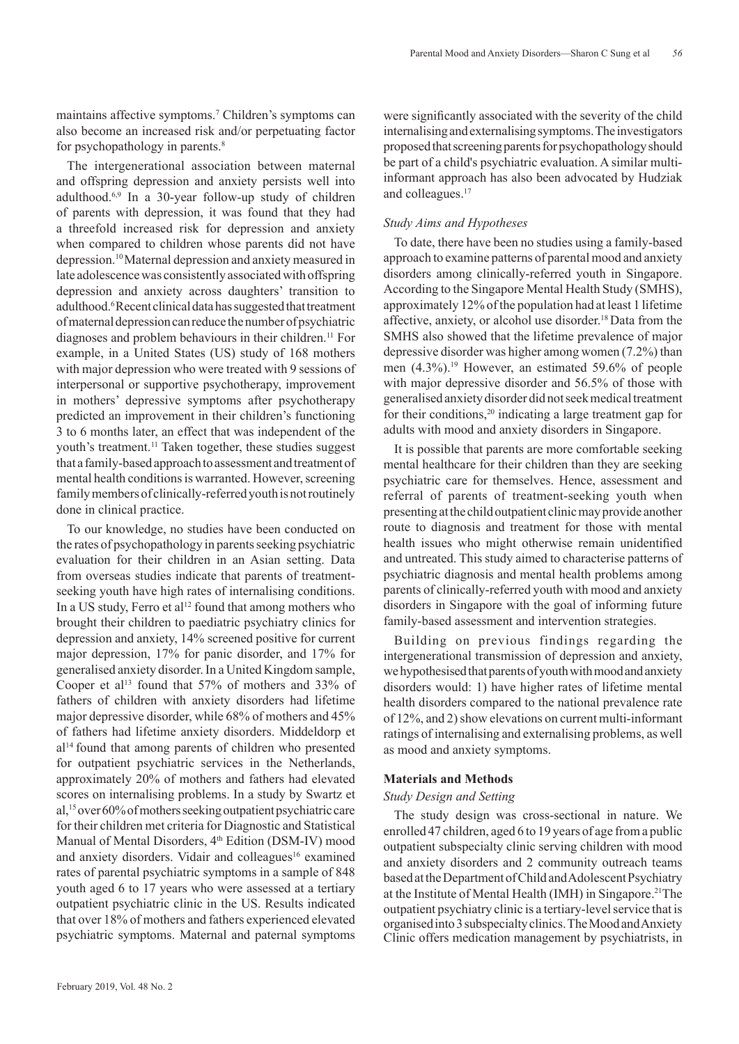maintains affective symptoms.7 Children's symptoms can also become an increased risk and/or perpetuating factor for psychopathology in parents.<sup>8</sup>

The intergenerational association between maternal and offspring depression and anxiety persists well into adulthood.6,9 In a 30-year follow-up study of children of parents with depression, it was found that they had a threefold increased risk for depression and anxiety when compared to children whose parents did not have depression.<sup>10</sup>Maternal depression and anxiety measured in late adolescence was consistently associated with offspring depression and anxiety across daughters' transition to adulthood.<sup>6</sup> Recent clinical data has suggested that treatment of maternal depression can reduce the number of psychiatric diagnoses and problem behaviours in their children.<sup>11</sup> For example, in a United States (US) study of 168 mothers with major depression who were treated with 9 sessions of interpersonal or supportive psychotherapy, improvement in mothers' depressive symptoms after psychotherapy predicted an improvement in their children's functioning 3 to 6 months later, an effect that was independent of the youth's treatment.11 Taken together, these studies suggest that a family-based approach to assessment and treatment of mental health conditions is warranted. However, screening family members of clinically-referred youth is not routinely done in clinical practice.

To our knowledge, no studies have been conducted on the rates of psychopathology in parents seeking psychiatric evaluation for their children in an Asian setting. Data from overseas studies indicate that parents of treatmentseeking youth have high rates of internalising conditions. In a US study, Ferro et al<sup>12</sup> found that among mothers who brought their children to paediatric psychiatry clinics for depression and anxiety, 14% screened positive for current major depression, 17% for panic disorder, and 17% for generalised anxiety disorder. In a United Kingdom sample, Cooper et al<sup>13</sup> found that 57% of mothers and 33% of fathers of children with anxiety disorders had lifetime major depressive disorder, while 68% of mothers and 45% of fathers had lifetime anxiety disorders. Middeldorp et  $al<sup>14</sup>$  found that among parents of children who presented for outpatient psychiatric services in the Netherlands, approximately 20% of mothers and fathers had elevated scores on internalising problems. In a study by Swartz et al,15 over 60% of mothers seeking outpatient psychiatric care for their children met criteria for Diagnostic and Statistical Manual of Mental Disorders, 4<sup>th</sup> Edition (DSM-IV) mood and anxiety disorders. Vidair and colleagues<sup>16</sup> examined rates of parental psychiatric symptoms in a sample of 848 youth aged 6 to 17 years who were assessed at a tertiary outpatient psychiatric clinic in the US. Results indicated that over 18% of mothers and fathers experienced elevated psychiatric symptoms. Maternal and paternal symptoms

were significantly associated with the severity of the child internalising and externalising symptoms. The investigators proposed that screening parents for psychopathology should be part of a child's psychiatric evaluation. A similar multiinformant approach has also been advocated by Hudziak and colleagues.<sup>17</sup>

### *Study Aims and Hypotheses*

To date, there have been no studies using a family-based approach to examine patterns of parental mood and anxiety disorders among clinically-referred youth in Singapore. According to the Singapore Mental Health Study (SMHS), approximately 12% of the population had at least 1 lifetime affective, anxiety, or alcohol use disorder.18 Data from the SMHS also showed that the lifetime prevalence of major depressive disorder was higher among women (7.2%) than men (4.3%).19 However, an estimated 59.6% of people with major depressive disorder and 56.5% of those with generalised anxiety disorder did not seek medical treatment for their conditions,<sup>20</sup> indicating a large treatment gap for adults with mood and anxiety disorders in Singapore.

It is possible that parents are more comfortable seeking mental healthcare for their children than they are seeking psychiatric care for themselves. Hence, assessment and referral of parents of treatment-seeking youth when presenting at the child outpatient clinic may provide another route to diagnosis and treatment for those with mental health issues who might otherwise remain unidentified and untreated. This study aimed to characterise patterns of psychiatric diagnosis and mental health problems among parents of clinically-referred youth with mood and anxiety disorders in Singapore with the goal of informing future family-based assessment and intervention strategies.

Building on previous findings regarding the intergenerational transmission of depression and anxiety, we hypothesised that parents of youth with mood and anxiety disorders would: 1) have higher rates of lifetime mental health disorders compared to the national prevalence rate of 12%, and 2) show elevations on current multi-informant ratings of internalising and externalising problems, as well as mood and anxiety symptoms.

### **Materials and Methods**

### *Study Design and Setting*

The study design was cross-sectional in nature. We enrolled 47 children, aged 6 to 19 years of age from a public outpatient subspecialty clinic serving children with mood and anxiety disorders and 2 community outreach teams based at the Department of Child and Adolescent Psychiatry at the Institute of Mental Health (IMH) in Singapore.21The outpatient psychiatry clinic is a tertiary-level service that is organised into 3 subspecialty clinics. The Mood and Anxiety Clinic offers medication management by psychiatrists, in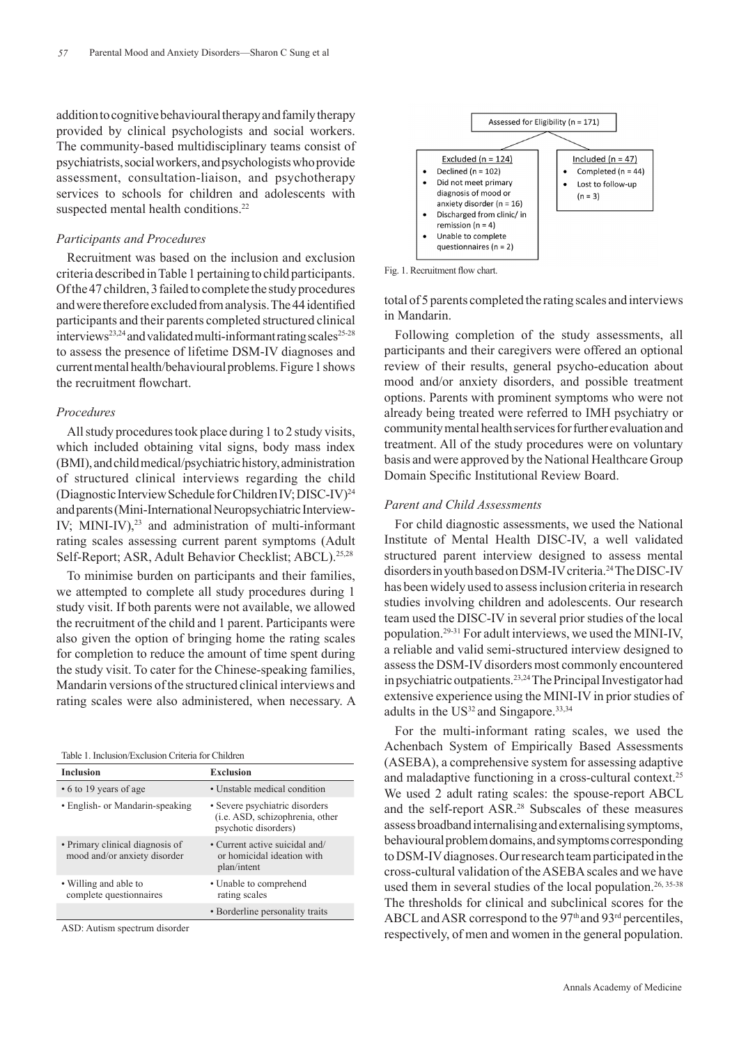addition to cognitive behavioural therapy and family therapy provided by clinical psychologists and social workers. The community-based multidisciplinary teams consist of psychiatrists, social workers, and psychologists who provide assessment, consultation-liaison, and psychotherapy services to schools for children and adolescents with suspected mental health conditions.<sup>22</sup>

#### *Participants and Procedures*

Recruitment was based on the inclusion and exclusion criteria described in Table 1 pertaining to child participants. Of the 47 children, 3 failed to complete the study procedures and were therefore excluded from analysis. The 44 identified participants and their parents completed structured clinical interviews<sup>23,24</sup> and validated multi-informant rating scales<sup>25-28</sup> to assess the presence of lifetime DSM-IV diagnoses and current mental health/behavioural problems. Figure 1 shows the recruitment flowchart.

### *Procedures*

All study procedures took place during 1 to 2 study visits, which included obtaining vital signs, body mass index (BMI), and child medical/psychiatric history, administration of structured clinical interviews regarding the child (Diagnostic Interview Schedule for Children IV; DISC-IV)24 and parents (Mini-International Neuropsychiatric Interview-IV; MINI-IV) $^{23}$  and administration of multi-informant rating scales assessing current parent symptoms (Adult Self-Report; ASR, Adult Behavior Checklist; ABCL).25,28

To minimise burden on participants and their families, we attempted to complete all study procedures during 1 study visit. If both parents were not available, we allowed the recruitment of the child and 1 parent. Participants were also given the option of bringing home the rating scales for completion to reduce the amount of time spent during the study visit. To cater for the Chinese-speaking families, Mandarin versions of the structured clinical interviews and rating scales were also administered, when necessary. A

| Table 1. Inclusion/Exclusion Criteria for Children |  |
|----------------------------------------------------|--|
|----------------------------------------------------|--|

| <b>Inclusion</b>                                                | Exclusion                                                                                 |
|-----------------------------------------------------------------|-------------------------------------------------------------------------------------------|
| • 6 to 19 years of age                                          | • Unstable medical condition                                                              |
| • English- or Mandarin-speaking                                 | • Severe psychiatric disorders<br>(i.e. ASD, schizophrenia, other<br>psychotic disorders) |
| • Primary clinical diagnosis of<br>mood and/or anxiety disorder | • Current active suicidal and/<br>or homicidal ideation with<br>plan/intent               |
| • Willing and able to<br>complete questionnaires                | • Unable to comprehend<br>rating scales                                                   |
|                                                                 | • Borderline personality traits                                                           |
|                                                                 |                                                                                           |

ASD: Autism spectrum disorder



Fig. 1. Recruitment flow chart.

total of 5 parents completed the rating scales and interviews in Mandarin.

Following completion of the study assessments, all participants and their caregivers were offered an optional review of their results, general psycho-education about mood and/or anxiety disorders, and possible treatment options. Parents with prominent symptoms who were not already being treated were referred to IMH psychiatry or community mental health services for further evaluation and treatment. All of the study procedures were on voluntary basis and were approved by the National Healthcare Group Domain Specific Institutional Review Board.

#### *Parent and Child Assessments*

For child diagnostic assessments, we used the National Institute of Mental Health DISC-IV, a well validated structured parent interview designed to assess mental disorders in youth based on DSM-IV criteria.24 The DISC-IV has been widely used to assess inclusion criteria in research studies involving children and adolescents. Our research team used the DISC-IV in several prior studies of the local population.29-31 For adult interviews, we used the MINI-IV, a reliable and valid semi-structured interview designed to assess the DSM-IV disorders most commonly encountered in psychiatric outpatients.23,24 The Principal Investigator had extensive experience using the MINI-IV in prior studies of adults in the  $US<sup>32</sup>$  and Singapore.<sup>33,34</sup>

For the multi-informant rating scales, we used the Achenbach System of Empirically Based Assessments (ASEBA), a comprehensive system for assessing adaptive and maladaptive functioning in a cross-cultural context.25 We used 2 adult rating scales: the spouse-report ABCL and the self-report ASR.28 Subscales of these measures assess broadband internalising and externalising symptoms, behavioural problem domains, and symptoms corresponding to DSM-IV diagnoses. Our research team participated in the cross-cultural validation of the ASEBA scales and we have used them in several studies of the local population.<sup>26, 35-38</sup> The thresholds for clinical and subclinical scores for the ABCL and ASR correspond to the 97<sup>th</sup> and 93<sup>rd</sup> percentiles, respectively, of men and women in the general population.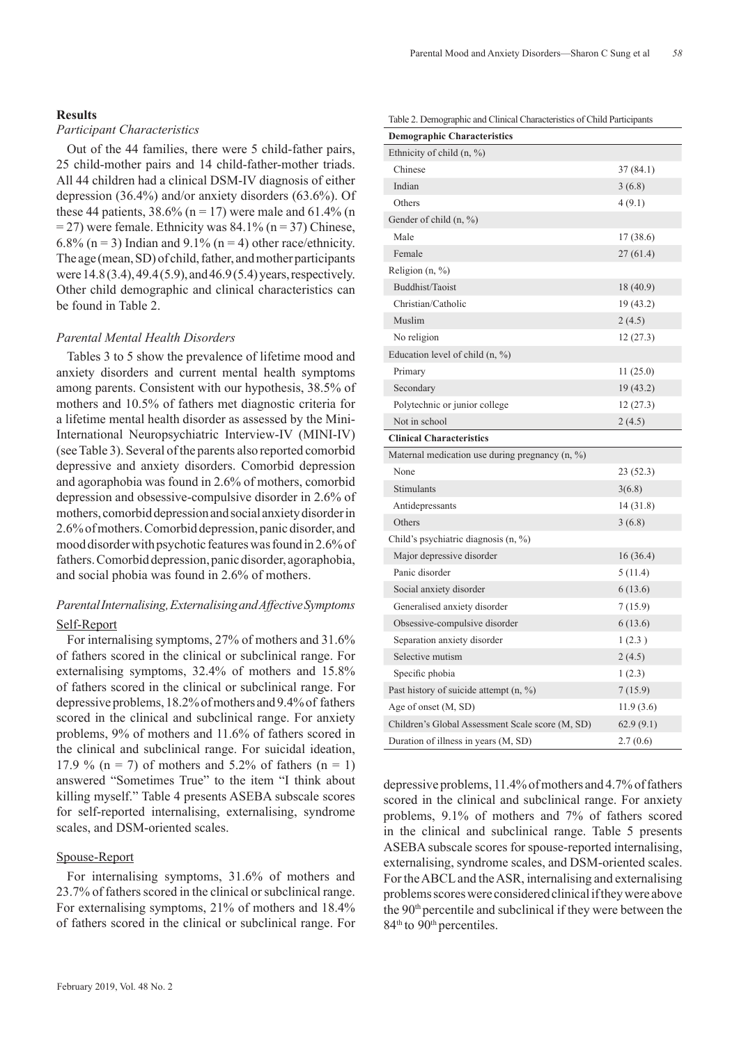### **Results**

## *Participant Characteristics*

Out of the 44 families, there were 5 child-father pairs, 25 child-mother pairs and 14 child-father-mother triads. All 44 children had a clinical DSM-IV diagnosis of either depression (36.4%) and/or anxiety disorders (63.6%). Of these 44 patients,  $38.6\%$  (n = 17) were male and 61.4% (n  $= 27$ ) were female. Ethnicity was 84.1% (n = 37) Chinese, 6.8% ( $n = 3$ ) Indian and 9.1% ( $n = 4$ ) other race/ethnicity. The age (mean, SD) of child, father, and mother participants were 14.8 (3.4), 49.4 (5.9), and 46.9 (5.4) years, respectively. Other child demographic and clinical characteristics can be found in Table 2.

## *Parental Mental Health Disorders*

Tables 3 to 5 show the prevalence of lifetime mood and anxiety disorders and current mental health symptoms among parents. Consistent with our hypothesis, 38.5% of mothers and 10.5% of fathers met diagnostic criteria for a lifetime mental health disorder as assessed by the Mini-International Neuropsychiatric Interview-IV (MINI-IV) (see Table 3). Several of the parents also reported comorbid depressive and anxiety disorders. Comorbid depression and agoraphobia was found in 2.6% of mothers, comorbid depression and obsessive-compulsive disorder in 2.6% of mothers, comorbid depression and social anxiety disorder in 2.6% of mothers. Comorbid depression, panic disorder, and mood disorder with psychotic features was found in 2.6% of fathers. Comorbid depression, panic disorder, agoraphobia, and social phobia was found in 2.6% of mothers.

# *Parental Internalising, Externalising and Affective Symptoms* Self-Report

For internalising symptoms, 27% of mothers and 31.6% of fathers scored in the clinical or subclinical range. For externalising symptoms, 32.4% of mothers and 15.8% of fathers scored in the clinical or subclinical range. For depressive problems, 18.2% of mothers and 9.4% of fathers scored in the clinical and subclinical range. For anxiety problems, 9% of mothers and 11.6% of fathers scored in the clinical and subclinical range. For suicidal ideation, 17.9 % (n = 7) of mothers and 5.2% of fathers (n = 1) answered "Sometimes True" to the item "I think about killing myself." Table 4 presents ASEBA subscale scores for self-reported internalising, externalising, syndrome scales, and DSM-oriented scales.

### Spouse-Report

For internalising symptoms, 31.6% of mothers and 23.7% of fathers scored in the clinical or subclinical range. For externalising symptoms, 21% of mothers and 18.4% of fathers scored in the clinical or subclinical range. For Table 2. Demographic and Clinical Characteristics of Child Participants

| <b>Demographic Characteristics</b>                 |           |
|----------------------------------------------------|-----------|
| Ethnicity of child $(n, %)$                        |           |
| Chinese                                            | 37 (84.1) |
| Indian                                             | 3(6.8)    |
| Others                                             | 4(9.1)    |
| Gender of child $(n, %)$                           |           |
| Male                                               | 17 (38.6) |
| Female                                             | 27(61.4)  |
| Religion $(n, %)$                                  |           |
| Buddhist/Taoist                                    | 18 (40.9) |
| Christian/Catholic                                 | 19 (43.2) |
| Muslim                                             | 2(4.5)    |
| No religion                                        | 12(27.3)  |
| Education level of child $(n, %)$                  |           |
| Primary                                            | 11 (25.0) |
| Secondary                                          | 19 (43.2) |
| Polytechnic or junior college                      | 12(27.3)  |
| Not in school                                      | 2(4.5)    |
| <b>Clinical Characteristics</b>                    |           |
| Maternal medication use during pregnancy $(n, \%)$ |           |
|                                                    |           |
| None                                               | 23 (52.3) |
| Stimulants                                         | 3(6.8)    |
| Antidepressants                                    | 14 (31.8) |
| Others                                             | 3(6.8)    |
| Child's psychiatric diagnosis (n, %)               |           |
| Major depressive disorder                          | 16(36.4)  |
| Panic disorder                                     | 5(11.4)   |
| Social anxiety disorder                            | 6(13.6)   |
| Generalised anxiety disorder                       | 7(15.9)   |
| Obsessive-compulsive disorder                      | 6(13.6)   |
| Separation anxiety disorder                        | 1(2.3)    |
| Selective mutism                                   | 2(4.5)    |
| Specific phobia                                    | 1(2.3)    |
| Past history of suicide attempt $(n, %)$           | 7(15.9)   |
| Age of onset (M, SD)                               | 11.9(3.6) |
| Children's Global Assessment Scale score (M, SD)   | 62.9(9.1) |

depressive problems, 11.4% of mothers and 4.7% of fathers scored in the clinical and subclinical range. For anxiety problems, 9.1% of mothers and 7% of fathers scored in the clinical and subclinical range. Table 5 presents ASEBA subscale scores for spouse-reported internalising, externalising, syndrome scales, and DSM-oriented scales. For the ABCL and the ASR, internalising and externalising problems scores were considered clinical if they were above the 90<sup>th</sup> percentile and subclinical if they were between the 84<sup>th</sup> to 90<sup>th</sup> percentiles.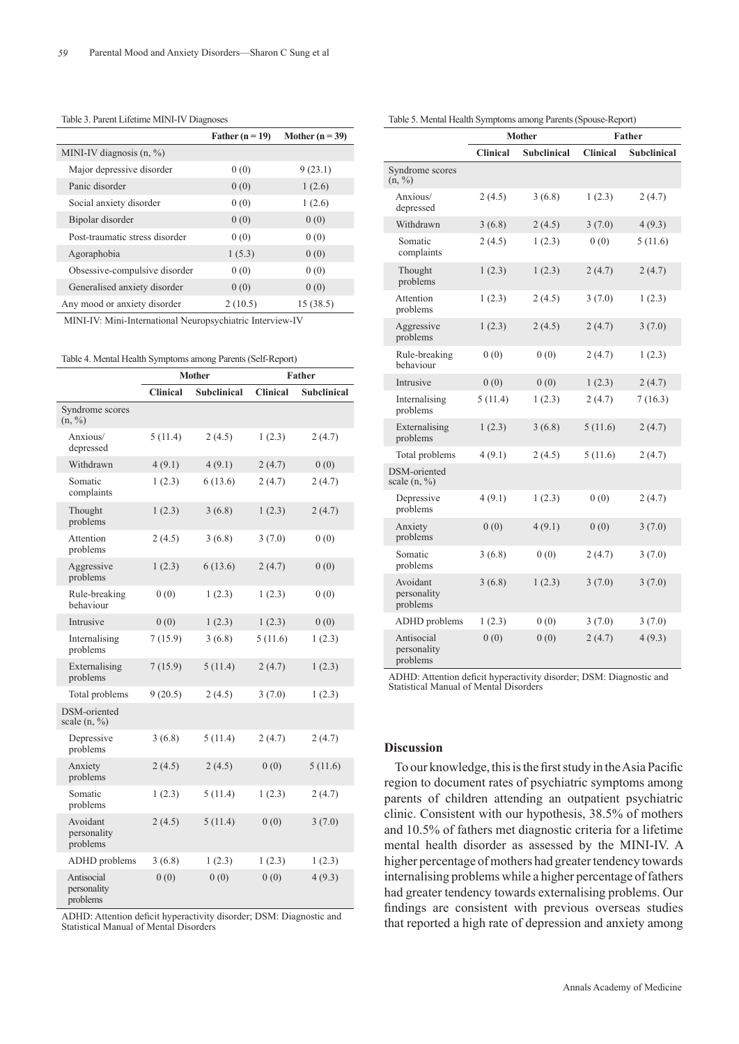|                                | Father $(n = 19)$ | Mother $(n = 39)$ |
|--------------------------------|-------------------|-------------------|
| MINI-IV diagnosis $(n, %)$     |                   |                   |
| Major depressive disorder      | 0(0)              | 9(23.1)           |
| Panic disorder                 | 0(0)              | 1(2.6)            |
| Social anxiety disorder        | 0(0)              | 1(2.6)            |
| Bipolar disorder               | 0(0)              | 0(0)              |
| Post-traumatic stress disorder | 0(0)              | 0(0)              |
| Agoraphobia                    | 1(5.3)            | 0(0)              |
| Obsessive-compulsive disorder  | 0(0)              | 0(0)              |
| Generalised anxiety disorder   | 0(0)              | 0(0)              |
| Any mood or anxiety disorder   | 2(10.5)           | 15 (38.5)         |

Table 3. Parent Lifetime MINI-IV Diagnoses

MINI-IV: Mini-International Neuropsychiatric Interview-IV

Table 4. Mental Health Symptoms among Parents (Self-Report)

|                                          | <b>Mother</b>   |                    | Father          |                    |
|------------------------------------------|-----------------|--------------------|-----------------|--------------------|
|                                          | <b>Clinical</b> | <b>Subclinical</b> | <b>Clinical</b> | <b>Subclinical</b> |
| Syndrome scores<br>$(n, \frac{9}{0})$    |                 |                    |                 |                    |
| Anxious/<br>depressed                    | 5(11.4)         | 2(4.5)             | 1(2.3)          | 2(4.7)             |
| Withdrawn                                | 4(9.1)          | 4(9.1)             | 2(4.7)          | 0(0)               |
| Somatic<br>complaints                    | 1(2.3)          | 6(13.6)            | 2(4.7)          | 2(4.7)             |
| Thought<br>problems                      | 1(2.3)          | 3(6.8)             | 1(2.3)          | 2(4.7)             |
| Attention<br>problems                    | 2(4.5)          | 3(6.8)             | 3(7.0)          | 0(0)               |
| Aggressive<br>problems                   | 1(2.3)          | 6(13.6)            | 2(4.7)          | 0(0)               |
| Rule-breaking<br>behaviour               | 0(0)            | 1(2.3)             | 1(2.3)          | 0(0)               |
| Intrusive                                | 0(0)            | 1(2.3)             | 1(2.3)          | 0(0)               |
| Internalising<br>problems                | 7 (15.9)        | 3(6.8)             | 5(11.6)         | 1(2.3)             |
| Externalising<br>problems                | 7(15.9)         | 5(11.4)            | 2(4.7)          | 1(2.3)             |
| Total problems                           | 9(20.5)         | 2(4.5)             | 3(7.0)          | 1(2.3)             |
| DSM-oriented<br>scale $(n, \frac{9}{0})$ |                 |                    |                 |                    |
| Depressive<br>problems                   | 3(6.8)          | 5(11.4)            | 2(4.7)          | 2(4.7)             |
| Anxiety<br>problems                      | 2(4.5)          | 2(4.5)             | 0(0)            | 5(11.6)            |
| Somatic<br>problems                      | 1(2.3)          | 5(11.4)            | 1(2.3)          | 2(4.7)             |
| Avoidant<br>personality<br>problems      | 2(4.5)          | 5(11.4)            | 0(0)            | 3(7.0)             |
| ADHD problems                            | 3(6.8)          | 1(2.3)             | 1(2.3)          | 1(2.3)             |
| Antisocial<br>personality<br>problems    | 0(0)            | 0(0)               | 0(0)            | 4(9.3)             |

ADHD: Attention deficit hyperactivity disorder; DSM: Diagnostic and Statistical Manual of Mental Disorders

| Table 5. Mental Health Symptoms among Parents (Spouse-Report) |  |  |
|---------------------------------------------------------------|--|--|
|                                                               |  |  |

|                                       | <b>Mother</b>   |                    | Father          |                    |
|---------------------------------------|-----------------|--------------------|-----------------|--------------------|
|                                       | <b>Clinical</b> | <b>Subclinical</b> | <b>Clinical</b> | <b>Subclinical</b> |
| Syndrome scores<br>(n, %)             |                 |                    |                 |                    |
| Anxious/<br>depressed                 | 2(4.5)          | 3(6.8)             | 1(2.3)          | 2(4.7)             |
| Withdrawn                             | 3(6.8)          | 2(4.5)             | 3(7.0)          | 4(9.3)             |
| Somatic<br>complaints                 | 2(4.5)          | 1(2.3)             | 0(0)            | 5(11.6)            |
| Thought<br>problems                   | 1(2.3)          | 1(2.3)             | 2(4.7)          | 2(4.7)             |
| Attention<br>problems                 | 1(2.3)          | 2(4.5)             | 3(7.0)          | 1(2.3)             |
| Aggressive<br>problems                | 1(2.3)          | 2(4.5)             | 2(4.7)          | 3(7.0)             |
| Rule-breaking<br>behaviour            | 0(0)            | 0(0)               | 2(4.7)          | 1(2.3)             |
| Intrusive                             | 0(0)            | 0(0)               | 1(2.3)          | 2(4.7)             |
| Internalising<br>problems             | 5(11.4)         | 1(2.3)             | 2(4.7)          | 7(16.3)            |
| Externalising<br>problems             | 1(2.3)          | 3(6.8)             | 5(11.6)         | 2(4.7)             |
| Total problems                        | 4(9.1)          | 2(4.5)             | 5(11.6)         | 2(4.7)             |
| DSM-oriented<br>scale $(n, %)$        |                 |                    |                 |                    |
| Depressive<br>problems                | 4(9.1)          | 1(2.3)             | 0(0)            | 2(4.7)             |
| Anxiety<br>problems                   | 0(0)            | 4(9.1)             | 0(0)            | 3(7.0)             |
| Somatic<br>problems                   | 3(6.8)          | 0(0)               | 2(4.7)          | 3(7.0)             |
| Avoidant<br>personality<br>problems   | 3(6.8)          | 1(2.3)             | 3(7.0)          | 3(7.0)             |
| ADHD problems                         | 1(2.3)          | 0(0)               | 3(7.0)          | 3(7.0)             |
| Antisocial<br>personality<br>problems | 0(0)            | 0(0)               | 2(4.7)          | 4(9.3)             |

ADHD: Attention deficit hyperactivity disorder; DSM: Diagnostic and Statistical Manual of Mental Disorders

#### **Discussion**

To our knowledge, this is the first study in the Asia Pacific region to document rates of psychiatric symptoms among parents of children attending an outpatient psychiatric clinic. Consistent with our hypothesis, 38.5% of mothers and 10.5% of fathers met diagnostic criteria for a lifetime mental health disorder as assessed by the MINI-IV. A higher percentage of mothers had greater tendency towards internalising problems while a higher percentage of fathers had greater tendency towards externalising problems. Our findings are consistent with previous overseas studies that reported a high rate of depression and anxiety among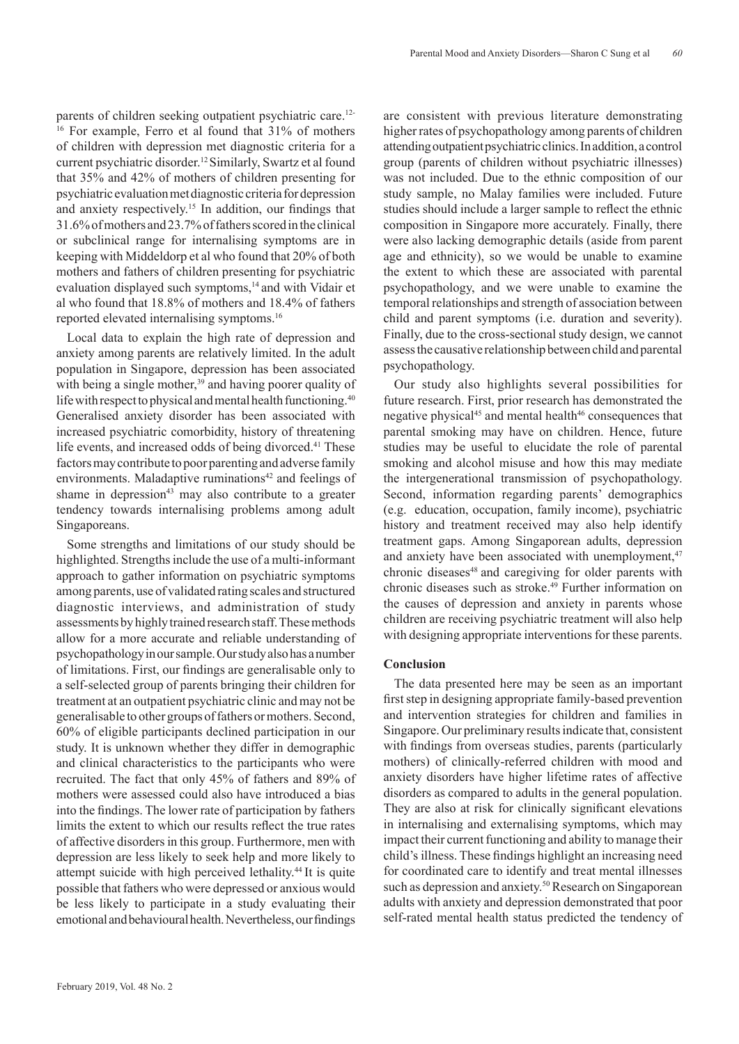parents of children seeking outpatient psychiatric care.12- 16 For example, Ferro et al found that 31% of mothers of children with depression met diagnostic criteria for a current psychiatric disorder.12 Similarly, Swartz et al found that 35% and 42% of mothers of children presenting for psychiatric evaluation met diagnostic criteria for depression and anxiety respectively.15 In addition, our findings that 31.6% of mothers and 23.7% of fathers scored in the clinical or subclinical range for internalising symptoms are in keeping with Middeldorp et al who found that 20% of both mothers and fathers of children presenting for psychiatric evaluation displayed such symptoms,<sup>14</sup> and with Vidair et al who found that 18.8% of mothers and 18.4% of fathers reported elevated internalising symptoms.16

Local data to explain the high rate of depression and anxiety among parents are relatively limited. In the adult population in Singapore, depression has been associated with being a single mother,<sup>39</sup> and having poorer quality of life with respect to physical and mental health functioning.<sup>40</sup> Generalised anxiety disorder has been associated with increased psychiatric comorbidity, history of threatening life events, and increased odds of being divorced.<sup>41</sup> These factors may contribute to poor parenting and adverse family environments. Maladaptive ruminations $42$  and feelings of shame in depression<sup>43</sup> may also contribute to a greater tendency towards internalising problems among adult Singaporeans.

Some strengths and limitations of our study should be highlighted. Strengths include the use of a multi-informant approach to gather information on psychiatric symptoms among parents, use of validated rating scales and structured diagnostic interviews, and administration of study assessments by highly trained research staff. These methods allow for a more accurate and reliable understanding of psychopathology in our sample. Our study also has a number of limitations. First, our findings are generalisable only to a self-selected group of parents bringing their children for treatment at an outpatient psychiatric clinic and may not be generalisable to other groups of fathers or mothers. Second, 60% of eligible participants declined participation in our study. It is unknown whether they differ in demographic and clinical characteristics to the participants who were recruited. The fact that only 45% of fathers and 89% of mothers were assessed could also have introduced a bias into the findings. The lower rate of participation by fathers limits the extent to which our results reflect the true rates of affective disorders in this group. Furthermore, men with depression are less likely to seek help and more likely to attempt suicide with high perceived lethality.44 It is quite possible that fathers who were depressed or anxious would be less likely to participate in a study evaluating their emotional and behavioural health. Nevertheless, our findings

are consistent with previous literature demonstrating higher rates of psychopathology among parents of children attending outpatient psychiatric clinics. In addition, a control group (parents of children without psychiatric illnesses) was not included. Due to the ethnic composition of our study sample, no Malay families were included. Future studies should include a larger sample to reflect the ethnic composition in Singapore more accurately. Finally, there were also lacking demographic details (aside from parent age and ethnicity), so we would be unable to examine the extent to which these are associated with parental psychopathology, and we were unable to examine the temporal relationships and strength of association between child and parent symptoms (i.e. duration and severity). Finally, due to the cross-sectional study design, we cannot assess the causative relationship between child and parental psychopathology.

Our study also highlights several possibilities for future research. First, prior research has demonstrated the negative physical<sup>45</sup> and mental health<sup>46</sup> consequences that parental smoking may have on children. Hence, future studies may be useful to elucidate the role of parental smoking and alcohol misuse and how this may mediate the intergenerational transmission of psychopathology. Second, information regarding parents' demographics (e.g. education, occupation, family income), psychiatric history and treatment received may also help identify treatment gaps. Among Singaporean adults, depression and anxiety have been associated with unemployment. $47$ chronic diseases<sup>48</sup> and caregiving for older parents with chronic diseases such as stroke.<sup>49</sup> Further information on the causes of depression and anxiety in parents whose children are receiving psychiatric treatment will also help with designing appropriate interventions for these parents.

### **Conclusion**

The data presented here may be seen as an important first step in designing appropriate family-based prevention and intervention strategies for children and families in Singapore. Our preliminary results indicate that, consistent with findings from overseas studies, parents (particularly mothers) of clinically-referred children with mood and anxiety disorders have higher lifetime rates of affective disorders as compared to adults in the general population. They are also at risk for clinically significant elevations in internalising and externalising symptoms, which may impact their current functioning and ability to manage their child's illness. These findings highlight an increasing need for coordinated care to identify and treat mental illnesses such as depression and anxiety.<sup>50</sup> Research on Singaporean adults with anxiety and depression demonstrated that poor self-rated mental health status predicted the tendency of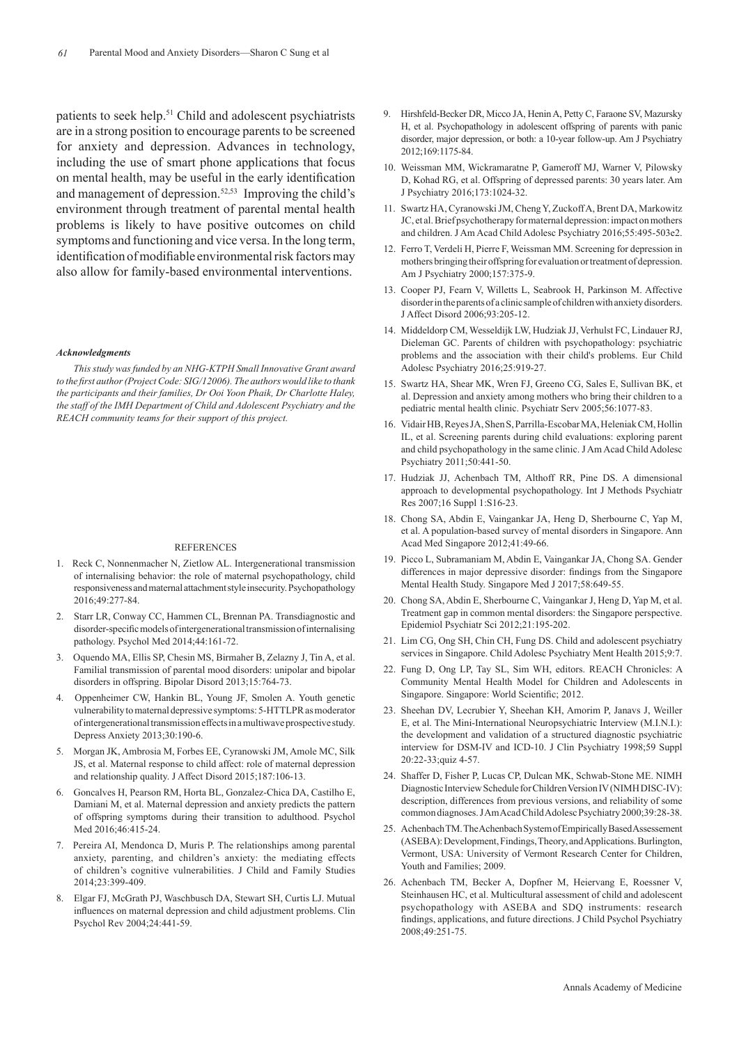patients to seek help.51 Child and adolescent psychiatrists are in a strong position to encourage parents to be screened for anxiety and depression. Advances in technology, including the use of smart phone applications that focus on mental health, may be useful in the early identification and management of depression.52,53 Improving the child's environment through treatment of parental mental health problems is likely to have positive outcomes on child symptoms and functioning and vice versa. In the long term, identification of modifiable environmental risk factors may also allow for family-based environmental interventions.

#### *Acknowledgments*

*This study was funded by an NHG-KTPH Small Innovative Grant award to the first author (Project Code: SIG/12006). The authors would like to thank the participants and their families, Dr Ooi Yoon Phaik, Dr Charlotte Haley, the staff of the IMH Department of Child and Adolescent Psychiatry and the REACH community teams for their support of this project.*

#### **REFERENCES**

- 1. Reck C, Nonnenmacher N, Zietlow AL. Intergenerational transmission of internalising behavior: the role of maternal psychopathology, child responsiveness and maternal attachment style insecurity. Psychopathology 2016;49:277-84.
- 2. Starr LR, Conway CC, Hammen CL, Brennan PA. Transdiagnostic and disorder-specific models of intergenerational transmission of internalising pathology. Psychol Med 2014;44:161-72.
- 3. Oquendo MA, Ellis SP, Chesin MS, Birmaher B, Zelazny J, Tin A, et al. Familial transmission of parental mood disorders: unipolar and bipolar disorders in offspring. Bipolar Disord 2013;15:764-73.
- 4. Oppenheimer CW, Hankin BL, Young JF, Smolen A. Youth genetic vulnerability to maternal depressive symptoms: 5-HTTLPR as moderator of intergenerational transmission effects in a multiwave prospective study. Depress Anxiety 2013;30:190-6.
- 5. Morgan JK, Ambrosia M, Forbes EE, Cyranowski JM, Amole MC, Silk JS, et al. Maternal response to child affect: role of maternal depression and relationship quality. J Affect Disord 2015;187:106-13.
- 6. Goncalves H, Pearson RM, Horta BL, Gonzalez-Chica DA, Castilho E, Damiani M, et al. Maternal depression and anxiety predicts the pattern of offspring symptoms during their transition to adulthood. Psychol Med 2016;46:415-24.
- 7. Pereira AI, Mendonca D, Muris P. The relationships among parental anxiety, parenting, and children's anxiety: the mediating effects of children's cognitive vulnerabilities. J Child and Family Studies 2014;23:399-409.
- 8. Elgar FJ, McGrath PJ, Waschbusch DA, Stewart SH, Curtis LJ. Mutual influences on maternal depression and child adjustment problems. Clin Psychol Rev 2004;24:441-59.
- 9. Hirshfeld-Becker DR, Micco JA, Henin A, Petty C, Faraone SV, Mazursky H, et al. Psychopathology in adolescent offspring of parents with panic disorder, major depression, or both: a 10-year follow-up. Am J Psychiatry 2012;169:1175-84.
- 10. Weissman MM, Wickramaratne P, Gameroff MJ, Warner V, Pilowsky D, Kohad RG, et al. Offspring of depressed parents: 30 years later. Am J Psychiatry 2016;173:1024-32.
- 11. Swartz HA, Cyranowski JM, Cheng Y, Zuckoff A, Brent DA, Markowitz JC, et al. Brief psychotherapy for maternal depression: impact on mothers and children. J Am Acad Child Adolesc Psychiatry 2016;55:495-503e2.
- 12. Ferro T, Verdeli H, Pierre F, Weissman MM. Screening for depression in mothers bringing their offspring for evaluation or treatment of depression. Am J Psychiatry 2000;157:375-9.
- 13. Cooper PJ, Fearn V, Willetts L, Seabrook H, Parkinson M. Affective disorder in the parents of a clinic sample of children with anxiety disorders. J Affect Disord 2006;93:205-12.
- 14. Middeldorp CM, Wesseldijk LW, Hudziak JJ, Verhulst FC, Lindauer RJ, Dieleman GC. Parents of children with psychopathology: psychiatric problems and the association with their child's problems. Eur Child Adolesc Psychiatry 2016;25:919-27.
- 15. Swartz HA, Shear MK, Wren FJ, Greeno CG, Sales E, Sullivan BK, et al. Depression and anxiety among mothers who bring their children to a pediatric mental health clinic. Psychiatr Serv 2005;56:1077-83.
- 16. Vidair HB, Reyes JA, Shen S, Parrilla-Escobar MA, Heleniak CM, Hollin IL, et al. Screening parents during child evaluations: exploring parent and child psychopathology in the same clinic. J Am Acad Child Adolesc Psychiatry 2011;50:441-50.
- 17. Hudziak JJ, Achenbach TM, Althoff RR, Pine DS. A dimensional approach to developmental psychopathology. Int J Methods Psychiatr Res 2007;16 Suppl 1:S16-23.
- 18. Chong SA, Abdin E, Vaingankar JA, Heng D, Sherbourne C, Yap M, et al. A population-based survey of mental disorders in Singapore. Ann Acad Med Singapore 2012;41:49-66.
- 19. Picco L, Subramaniam M, Abdin E, Vaingankar JA, Chong SA. Gender differences in major depressive disorder: findings from the Singapore Mental Health Study. Singapore Med J 2017;58:649-55.
- 20. Chong SA, Abdin E, Sherbourne C, Vaingankar J, Heng D, Yap M, et al. Treatment gap in common mental disorders: the Singapore perspective. Epidemiol Psychiatr Sci 2012;21:195-202.
- 21. Lim CG, Ong SH, Chin CH, Fung DS. Child and adolescent psychiatry services in Singapore. Child Adolesc Psychiatry Ment Health 2015;9:7.
- 22. Fung D, Ong LP, Tay SL, Sim WH, editors. REACH Chronicles: A Community Mental Health Model for Children and Adolescents in Singapore. Singapore: World Scientific; 2012.
- 23. Sheehan DV, Lecrubier Y, Sheehan KH, Amorim P, Janavs J, Weiller E, et al. The Mini-International Neuropsychiatric Interview (M.I.N.I.): the development and validation of a structured diagnostic psychiatric interview for DSM-IV and ICD-10. J Clin Psychiatry 1998;59 Suppl 20:22-33;quiz 4-57.
- 24. Shaffer D, Fisher P, Lucas CP, Dulcan MK, Schwab-Stone ME. NIMH Diagnostic Interview Schedule for Children Version IV (NIMH DISC-IV): description, differences from previous versions, and reliability of some common diagnoses. J Am Acad Child Adolesc Psychiatry 2000;39:28-38.
- 25. Achenbach TM. The Achenbach System of Empirically Based Assessement (ASEBA): Development, Findings, Theory, and Applications. Burlington, Vermont, USA: University of Vermont Research Center for Children, Youth and Families; 2009.
- 26. Achenbach TM, Becker A, Dopfner M, Heiervang E, Roessner V, Steinhausen HC, et al. Multicultural assessment of child and adolescent psychopathology with ASEBA and SDQ instruments: research findings, applications, and future directions. J Child Psychol Psychiatry 2008;49:251-75.